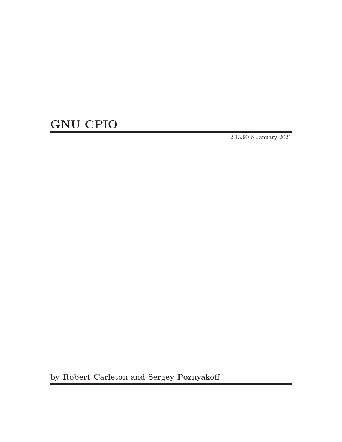# GNU CPIO

2.13.90 6 January 2021

by Robert Carleton and Sergey Poznyakoff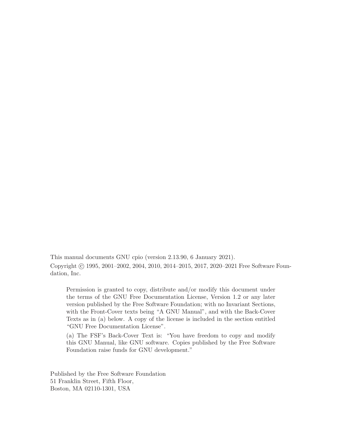This manual documents GNU cpio (version 2.13.90, 6 January 2021). Copyright © 1995, 2001–2002, 2004, 2010, 2014–2015, 2017, 2020–2021 Free Software Foundation, Inc.

Permission is granted to copy, distribute and/or modify this document under the terms of the GNU Free Documentation License, Version 1.2 or any later version published by the Free Software Foundation; with no Invariant Sections, with the Front-Cover texts being "A GNU Manual", and with the Back-Cover Texts as in (a) below. A copy of the license is included in the section entitled "GNU Free Documentation License".

(a) The FSF's Back-Cover Text is: "You have freedom to copy and modify this GNU Manual, like GNU software. Copies published by the Free Software Foundation raise funds for GNU development."

Published by the Free Software Foundation 51 Franklin Street, Fifth Floor, Boston, MA 02110-1301, USA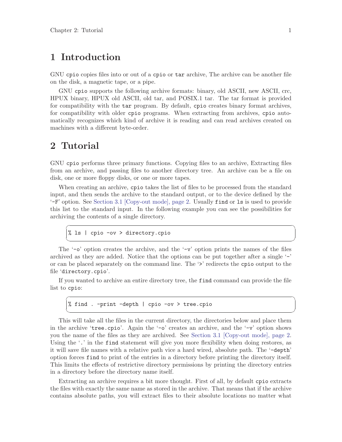## <span id="page-2-0"></span>1 Introduction

GNU cpio copies files into or out of a cpio or tar archive, The archive can be another file on the disk, a magnetic tape, or a pipe.

GNU cpio supports the following archive formats: binary, old ASCII, new ASCII, crc, HPUX binary, HPUX old ASCII, old tar, and POSIX.1 tar. The tar format is provided for compatibility with the tar program. By default, cpio creates binary format archives, for compatibility with older cpio programs. When extracting from archives, cpio automatically recognizes which kind of archive it is reading and can read archives created on machines with a different byte-order.

## 2 Tutorial

GNU cpio performs three primary functions. Copying files to an archive, Extracting files from an archive, and passing files to another directory tree. An archive can be a file on disk, one or more floppy disks, or one or more tapes.

When creating an archive, cpio takes the list of files to be processed from the standard input, and then sends the archive to the standard output, or to the device defined by the  $-F'$  option. See [Section 3.1 \[Copy-out mode\], page 2.](#page-3-0) Usually find or 1s is used to provide this list to the standard input. In the following example you can see the possibilities for archiving the contents of a single directory.

 $\sqrt{2\pi}$ 

✡ ✠

 $\sqrt{2\pi}$ 

✡ ✠

% ls | cpio -ov > directory.cpio

The  $\sim$ -o' option creates the archive, and the  $\sim$ -v' option prints the names of the files archived as they are added. Notice that the options can be put together after a single  $$ or can be placed separately on the command line. The '>' redirects the cpio output to the file 'directory.cpio'.

If you wanted to archive an entire directory tree, the find command can provide the file list to cpio:

```
% find . -print -depth | cpio -ov > tree.cpio
```
This will take all the files in the current directory, the directories below and place them in the archive 'tree.cpio'. Again the '- $\circ$ ' creates an archive, and the '- $\nu$ ' option shows you the name of the files as they are archived. See [Section 3.1 \[Copy-out mode\], page 2.](#page-3-0) Using the '.' in the find statement will give you more flexibility when doing restores, as it will save file names with a relative path vice a hard wired, absolute path. The '-depth' option forces find to print of the entries in a directory before printing the directory itself. This limits the effects of restrictive directory permissions by printing the directory entries in a directory before the directory name itself.

Extracting an archive requires a bit more thought. First of all, by default cpio extracts the files with exactly the same name as stored in the archive. That means that if the archive contains absolute paths, you will extract files to their absolute locations no matter what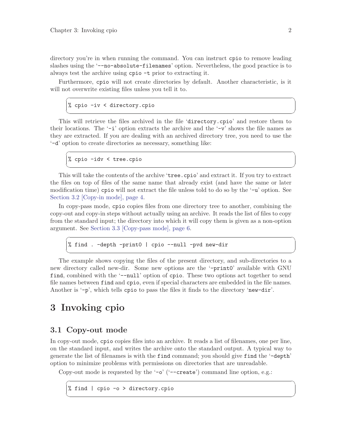<span id="page-3-2"></span>directory you're in when running the command. You can instruct cpio to remove leading slashes using the '--no-absolute-filenames' option. Nevertheless, the good practice is to always test the archive using cpio -t prior to extracting it.

Furthermore, cpio will not create directories by default. Another characteristic, is it will not overwrite existing files unless you tell it to.

 $\sqrt{2\pi}$ 

✡ ✠

 $\sqrt{2\pi}$ 

✡ ✠

 $\sqrt{2\pi}$ 

✡ ✠

```
% cpio -iv < directory.cpio
```
This will retrieve the files archived in the file 'directory.cpio' and restore them to their locations. The  $\div$   $\div$  option extracts the archive and the  $\div$   $\div$  shows the file names as they are extracted. If you are dealing with an archived directory tree, you need to use the '-d' option to create directories as necessary, something like:

% cpio -idv < tree.cpio

This will take the contents of the archive 'tree.cpio' and extract it. If you try to extract the files on top of files of the same name that already exist (and have the same or later modification time) cpio will not extract the file unless told to do so by the '-u' option. See [Section 3.2 \[Copy-in mode\], page 4](#page-5-0).

In copy-pass mode, cpio copies files from one directory tree to another, combining the copy-out and copy-in steps without actually using an archive. It reads the list of files to copy from the standard input; the directory into which it will copy them is given as a non-option argument. See [Section 3.3 \[Copy-pass mode\], page 6.](#page-7-0)

% find . -depth -print0 | cpio --null -pvd new-dir

The example shows copying the files of the present directory, and sub-directories to a new directory called new-dir. Some new options are the '-print0' available with GNU find, combined with the '--null' option of cpio. These two options act together to send file names between find and cpio, even if special characters are embedded in the file names. Another is '-p', which tells cpio to pass the files it finds to the directory 'new-dir'.

## 3 Invoking cpio

## <span id="page-3-0"></span>3.1 Copy-out mode

<span id="page-3-1"></span>In copy-out mode, cpio copies files into an archive. It reads a list of filenames, one per line, on the standard input, and writes the archive onto the standard output. A typical way to generate the list of filenames is with the find command; you should give find the '-depth' option to minimize problems with permissions on directories that are unreadable.

 $\sqrt{1 - \frac{1}{2}}$ 

✡ ✠

Copy-out mode is requested by the '- $\circ$ ' ('--create') command line option, e.g.:

% find | cpio -o > directory.cpio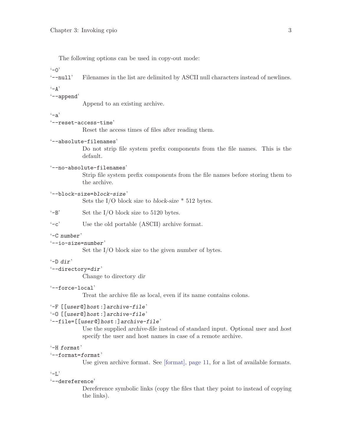The following options can be used in copy-out mode:

 $(-0)$ 

'--null' Filenames in the list are delimited by ASCII null characters instead of newlines.

 $(-\Delta)$ 

#### '--append'

Append to an existing archive.

#### $-$ a'

#### '--reset-access-time'

Reset the access times of files after reading them.

#### '--absolute-filenames'

Do not strip file system prefix components from the file names. This is the default.

#### '--no-absolute-filenames'

Strip file system prefix components from the file names before storing them to the archive.

#### '--block-size=block-size'

Sets the I/O block size to block-size  $*$  512 bytes.

'-B' Set the I/O block size to 5120 bytes.

'-c' Use the old portable (ASCII) archive format.

#### '-C number'

#### '--io-size=number'

Set the I/O block size to the given number of bytes.

#### '-D dir'

 $'-$ -directory=dir'

Change to directory dir

#### '--force-local'

Treat the archive file as local, even if its name contains colons.

#### '-F [[user@]host:]archive-file'

```
'-O [[user@]host:]archive-file'
```
#### '--file=[[user@]host:]archive-file'

Use the supplied archive-file instead of standard input. Optional user and host specify the user and host names in case of a remote archive.

#### '-H format'

#### '--format=format'

Use given archive format. See [\[format\], page 11](#page-12-0), for a list of available formats.

#### $-1$ .

#### '--dereference'

Dereference symbolic links (copy the files that they point to instead of copying the links).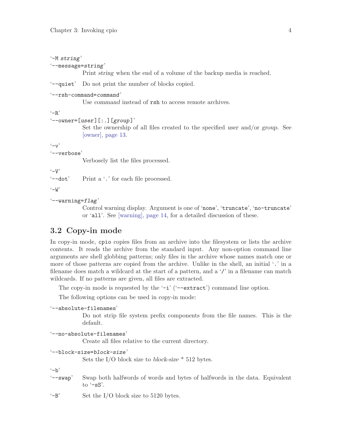<span id="page-5-2"></span>'-M string'

'--message=string'

Print string when the end of a volume of the backup media is reached.

'--quiet' Do not print the number of blocks copied.

```
'--rsh-command=command'
```
Use command instead of rsh to access remote archives.

 $-<sub>R</sub>$ 

```
'--owner=[user][:.][group]'
```
Set the ownership of all files created to the specified user and/or group. See [\[owner\], page 13.](#page-14-0)

 $\cdot$ -v'

'--verbose'

Verbosely list the files processed.

 $(-V)$ 

'--dot' Print a '.' for each file processed.

 $(-M)$ 

 $'-$ -warning= $flag'$ 

Control warning display. Argument is one of 'none', 'truncate', 'no-truncate' or 'all'. See [\[warning\], page 14](#page-15-0), for a detailed discussion of these.

## <span id="page-5-0"></span>3.2 Copy-in mode

<span id="page-5-1"></span>In copy-in mode, cpio copies files from an archive into the filesystem or lists the archive contents. It reads the archive from the standard input. Any non-option command line arguments are shell globbing patterns; only files in the archive whose names match one or more of those patterns are copied from the archive. Unlike in the shell, an initial '.' in a filename does match a wildcard at the start of a pattern, and a  $\gamma$  in a filename can match wildcards. If no patterns are given, all files are extracted.

The copy-in mode is requested by the  $\text{--}i'$  ( $\text{--}$ extract') command line option.

The following options can be used in copy-in mode:

```
'--absolute-filenames'
```
Do not strip file system prefix components from the file names. This is the default.

```
'--no-absolute-filenames'
```
Create all files relative to the current directory.

```
'--block-size=block-size'
```
Sets the I/O block size to block-size  $*$  512 bytes.

 $(-h)$ 

'--swap' Swap both halfwords of words and bytes of halfwords in the data. Equivalent to  $\ensuremath{^{\circ}}$ -sS'.

'-B' Set the I/O block size to 5120 bytes.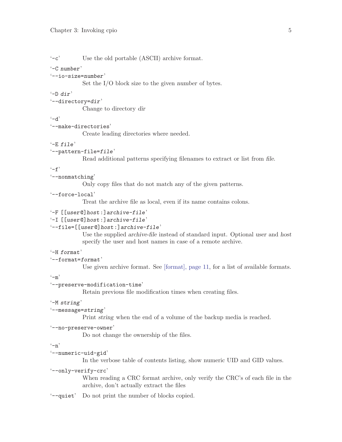'-c' Use the old portable (ASCII) archive format.

### '-C number'

```
'--io-size=number'
```
Set the I/O block size to the given number of bytes.

#### '-D dir'

 $'-$ -directory=dir'

Change to directory dir

#### $- d'$

'--make-directories'

Create leading directories where needed.

## $'-E$  file'

#### '--pattern-file=file'

Read additional patterns specifying filenames to extract or list from file.

#### $(-f)$

'--nonmatching'

Only copy files that do not match any of the given patterns.

#### '--force-local'

Treat the archive file as local, even if its name contains colons.

```
'-F [[user@]host:]archive-file'
```

```
'-I [[user@]host:]archive-file'
```
## '--file=[[user@]host:]archive-file'

Use the supplied archive-file instead of standard input. Optional user and host specify the user and host names in case of a remote archive.

#### '-H format'

```
'--format=format'
```
Use given archive format. See [\[format\], page 11](#page-12-0), for a list of available formats.

#### $(-m)$

#### '--preserve-modification-time'

Retain previous file modification times when creating files.

#### '-M string'

#### '--message=string'

Print string when the end of a volume of the backup media is reached.

```
'--no-preserve-owner'
```
Do not change the ownership of the files.

#### $(-n)$

#### '--numeric-uid-gid'

In the verbose table of contents listing, show numeric UID and GID values.

#### '--only-verify-crc'

When reading a CRC format archive, only verify the CRC's of each file in the archive, don't actually extract the files

'--quiet' Do not print the number of blocks copied.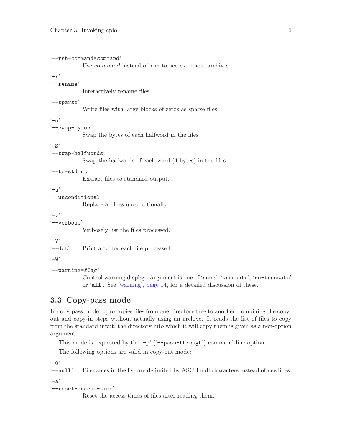```
'--rsh-command=command'
            Use command instead of rsh to access remote archives.
(-r)'--rename'
            Interactively rename files
'--sparse'
            Write files with large blocks of zeros as sparse files.
-s'
'--swap-bytes'
            Swap the bytes of each halfword in the files
-S'
'--swap-halfwords'
            Swap the halfwords of each word (4 bytes) in the files
'--to-stdout'
            Extract files to standard output.
(-1)'--unconditional'
            Replace all files unconditionally.
\cdot-v'
'--verbose'
            Verbosely list the files processed.
\cdot -V''--dot' Print a '.' for each file processed.
(-<sub>W</sub>)'--warning=flag'
            Control warning display. Argument is one of 'none', 'truncate', 'no-truncate'
            or 'all'. See [warning], page 14, for a detailed discussion of these.
```
## <span id="page-7-0"></span>3.3 Copy-pass mode

<span id="page-7-1"></span>In copy-pass mode, cpio copies files from one directory tree to another, combining the copyout and copy-in steps without actually using an archive. It reads the list of files to copy from the standard input; the directory into which it will copy them is given as a non-option argument.

This mode is requested by the '-p' ('--pass-through') command line option.

The following options are valid in copy-out mode:

 $(-0)$ 

'--null' Filenames in the list are delimited by ASCII null characters instead of newlines.

 $(-a)$ 

```
'--reset-access-time'
```
Reset the access times of files after reading them.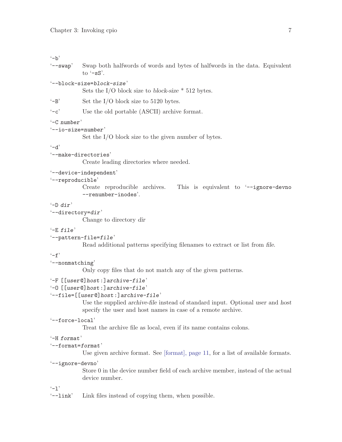#### $- b'$

- '--swap' Swap both halfwords of words and bytes of halfwords in the data. Equivalent to  $\ensuremath{^{\circ}}$ -sS'.
- '--block-size=block-size'

Sets the I/O block size to block-size \* 512 bytes.

- '-B' Set the I/O block size to 5120 bytes.
- '-c' Use the old portable (ASCII) archive format.

#### '-C number'

```
'--io-size=number'
```
Set the I/O block size to the given number of bytes.

### $- d'$

'--make-directories'

Create leading directories where needed.

## '--device-independent'

#### '--reproducible'

Create reproducible archives. This is equivalent to '--ignore-devno --renumber-inodes'.

#### '-D dir'

'--directory=dir'

Change to directory dir

#### '-E file'

#### '--pattern-file=file'

Read additional patterns specifying filenames to extract or list from file.

#### $-*f*$

'--nonmatching'

Only copy files that do not match any of the given patterns.

```
'-F [[user@]host:]archive-file'
```

```
'-O [[user@]host:]archive-file'
```
#### '--file=[[user@]host:]archive-file'

Use the supplied archive-file instead of standard input. Optional user and host specify the user and host names in case of a remote archive.

#### '--force-local'

Treat the archive file as local, even if its name contains colons.

### '-H format'

```
'--format=format'
```
Use given archive format. See [\[format\], page 11](#page-12-0), for a list of available formats.

#### '--ignore-devno'

Store 0 in the device number field of each archive member, instead of the actual device number.

#### $-1'$

'--link' Link files instead of copying them, when possible.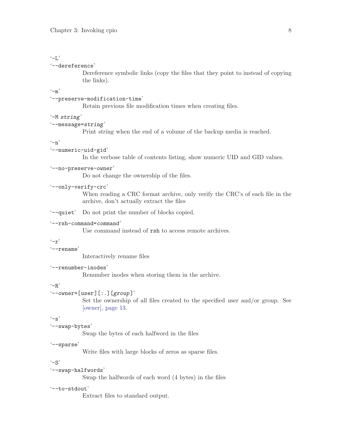#### $-1$ .

#### '--dereference'

Dereference symbolic links (copy the files that they point to instead of copying the links).

#### $\left(-m\right)$

#### '--preserve-modification-time'

Retain previous file modification times when creating files.

#### '-M string'

### '--message=string'

Print string when the end of a volume of the backup media is reached.

#### $(-n)$

#### '--numeric-uid-gid'

In the verbose table of contents listing, show numeric UID and GID values.

#### '--no-preserve-owner'

Do not change the ownership of the files.

### '--only-verify-crc'

When reading a CRC format archive, only verify the CRC's of each file in the archive, don't actually extract the files

'--quiet' Do not print the number of blocks copied.

#### '--rsh-command=command'

Use command instead of rsh to access remote archives.

#### $(-r)$

'--rename'

Interactively rename files

#### '--renumber-inodes'

Renumber inodes when storing them in the archive.

## $-<sub>R</sub>$

#### $'$ --owner=[user][:.][group]'

Set the ownership of all files created to the specified user and/or group. See [\[owner\], page 13.](#page-14-0)

#### $(-s)$

#### '--swap-bytes'

Swap the bytes of each halfword in the files

#### '--sparse'

Write files with large blocks of zeros as sparse files.

#### $-$ S'

#### '--swap-halfwords'

Swap the halfwords of each word (4 bytes) in the files

#### '--to-stdout'

Extract files to standard output.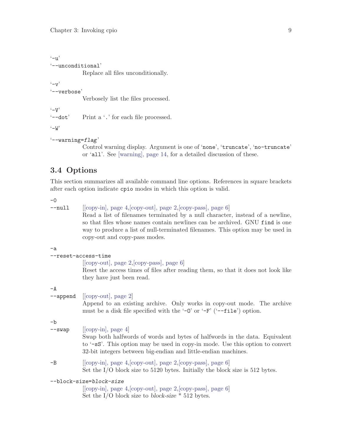<span id="page-10-0"></span> $\cdot$ -u' '--unconditional'

Replace all files unconditionally.

 $(-v)$ 

'--verbose'

Verbosely list the files processed.

 $\cdot -v$ 

'--dot' Print a '.' for each file processed.

 $\cdot -W$ 

```
'--warning=flag'
```
Control warning display. Argument is one of 'none', 'truncate', 'no-truncate' or 'all'. See [\[warning\], page 14](#page-15-0), for a detailed discussion of these.

## 3.4 Options

This section summarizes all available command line options. References in square brackets after each option indicate cpio modes in which this option is valid.

 $-0$ 

--null [[\[copy-in\], page 4,](#page-5-1)[\[copy-out\], page 2,](#page-3-1)[\[copy-pass\], page 6\]](#page-7-1)

Read a list of filenames terminated by a null character, instead of a newline, so that files whose names contain newlines can be archived. GNU find is one way to produce a list of null-terminated filenames. This option may be used in copy-out and copy-pass modes.

-a

|              | --reset-access-time                                                                                                                                                                                                                                                                                                                 |
|--------------|-------------------------------------------------------------------------------------------------------------------------------------------------------------------------------------------------------------------------------------------------------------------------------------------------------------------------------------|
|              | $[ [copy-out], page 2, [copy-pass], page 6]$<br>Reset the access times of files after reading them, so that it does not look like<br>they have just been read.                                                                                                                                                                      |
| -A           | $\lnot$ --append [[copy-out], page 2]<br>Append to an existing archive. Only works in copy-out mode. The archive<br>must be a disk file specified with the '-0' or '-F' ('--file') option.                                                                                                                                          |
| -b<br>--swap | $[$ [copy-in], page 4]<br>Swap both halfwords of words and bytes of halfwords in the data. Equivalent<br>to '-sS'. This option may be used in copy-in mode. Use this option to convert<br>32-bit integers between big-endian and little-endian machines.                                                                            |
| $-B$         | $[ [copy-in], page 4, [copy-out], page 2, [copy-pass], page 6]$<br>Set the I/O block size to 5120 bytes. Initially the block size is 512 bytes.                                                                                                                                                                                     |
|              | --block-size=block-size<br>$\lceil \lceil \cdot \rceil \rceil$ $\lceil \cdot \rceil \rceil$ $\lceil \cdot \rceil \rceil$ $\lceil \cdot \rceil \rceil$ $\lceil \cdot \rceil \rceil$ $\lceil \cdot \rceil \rceil$ $\lceil \cdot \rceil \rceil$ $\lceil \cdot \rceil \rceil$ $\lceil \cdot \rceil \rceil$ $\lceil \cdot \rceil \rceil$ |

[[\[copy-in\], page 4,](#page-5-1)[\[copy-out\], page 2,](#page-3-1)[\[copy-pass\], page 6\]](#page-7-1) Set the I/O block size to block-size \* 512 bytes.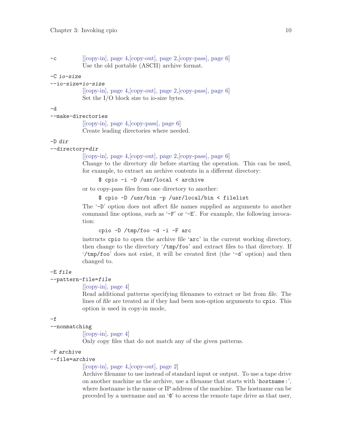| $-c$ | $[ [copy-in], page 4, [copy-out], page 2, [copy-pass], page 6]$ |
|------|-----------------------------------------------------------------|
|      | Use the old portable (ASCII) archive format.                    |

#### -C io-size

#### --io-size=io-size

[[\[copy-in\], page 4,](#page-5-1)[\[copy-out\], page 2,](#page-3-1)[\[copy-pass\], page 6\]](#page-7-1) Set the I/O block size to io-size bytes.

#### -d

#### --make-directories

[[\[copy-in\], page 4,](#page-5-1)[\[copy-pass\], page 6](#page-7-1)] Create leading directories where needed.

#### -D dir

--directory=dir

```
[[copy-in], page 4,[copy-out], page 2,[copy-pass], page 6]
```
Change to the directory dir before starting the operation. This can be used, for example, to extract an archive contents in a different directory:

\$ cpio -i -D /usr/local < archive

or to copy-pass files from one directory to another:

#### \$ cpio -D /usr/bin -p /usr/local/bin < filelist

The '-D' option does not affect file names supplied as arguments to another command line options, such as '-F' or '-E'. For example, the following invocation:

cpio -D /tmp/foo -d -i -F arc

instructs cpio to open the archive file 'arc' in the current working directory, then change to the directory  $\frac{\text{temp}}{\text{top}}$  (too) and extract files to that directory. If '/tmp/foo' does not exist, it will be created first (the '-d' option) and then changed to.

#### -E file

## --pattern-file=file

 $[ [copy-in], page 4]$  $[ [copy-in], page 4]$ 

Read additional patterns specifying filenames to extract or list from file. The lines of file are treated as if they had been non-option arguments to cpio. This option is used in copy-in mode,

#### -f

#### --nonmatching

 $[ [copy-in], page 4]$  $[ [copy-in], page 4]$ 

Only copy files that do not match any of the given patterns.

#### -F archive

#### --file=archive

#### [[\[copy-in\], page 4,](#page-5-1)[\[copy-out\], page 2\]](#page-3-1)

Archive filename to use instead of standard input or output. To use a tape drive on another machine as the archive, use a filename that starts with 'hostname:', where hostname is the name or IP address of the machine. The hostname can be preceded by a username and an '@' to access the remote tape drive as that user,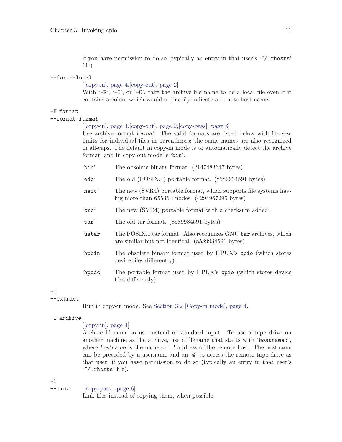if you have permission to do so (typically an entry in that user's '~/.rhosts' file).

#### --force-local

[[\[copy-in\], page 4,](#page-5-1)[\[copy-out\], page 2\]](#page-3-1)

With  $-F$ ,  $-F$ ,  $-T$ , or  $-0$ , take the archive file name to be a local file even if it contains a colon, which would ordinarily indicate a remote host name.

#### <span id="page-12-0"></span>-H format

--format=format

[[\[copy-in\], page 4,](#page-5-1)[\[copy-out\], page 2,](#page-3-1)[\[copy-pass\], page 6\]](#page-7-1)

Use archive format format. The valid formats are listed below with file size limits for individual files in parentheses; the same names are also recognized in all-caps. The default in copy-in mode is to automatically detect the archive format, and in copy-out mode is 'bin'.

- 'bin' The obsolete binary format. (2147483647 bytes)
- 'odc' The old (POSIX.1) portable format. (8589934591 bytes)
- 'newc' The new (SVR4) portable format, which supports file systems having more than 65536 i-nodes. (4294967295 bytes)
- 'crc' The new (SVR4) portable format with a checksum added.
- 'tar' The old tar format. (8589934591 bytes)
- 'ustar' The POSIX.1 tar format. Also recognizes GNU tar archives, which are similar but not identical. (8589934591 bytes)
- 'hpbin' The obsolete binary format used by HPUX's cpio (which stores device files differently).
- 'hpodc' The portable format used by HPUX's cpio (which stores device files differently).

#### -i

--extract

Run in copy-in mode. See [Section 3.2 \[Copy-in mode\], page 4.](#page-5-0)

#### -I archive

#### $[$ [\[copy-in\], page 4\]](#page-5-1)

Archive filename to use instead of standard input. To use a tape drive on another machine as the archive, use a filename that starts with 'hostname:', where hostname is the name or IP address of the remote host. The hostname can be preceded by a username and an '@' to access the remote tape drive as that user, if you have permission to do so (typically an entry in that user's '~/.rhosts' file).

-l

--link [[\[copy-pass\], page 6\]](#page-7-1)

Link files instead of copying them, when possible.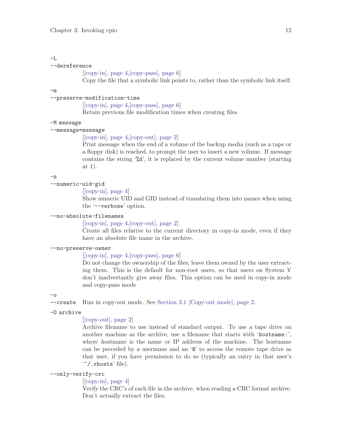## $-I.$

#### --dereference

[[\[copy-in\], page 4,](#page-5-1)[\[copy-pass\], page 6](#page-7-1)]

Copy the file that a symbolic link points to, rather than the symbolic link itself.

-m

#### --preserve-modification-time

[[\[copy-in\], page 4,](#page-5-1)[\[copy-pass\], page 6](#page-7-1)]

Retain previous file modification times when creating files.

#### -M message

#### --message=message

#### [[\[copy-in\], page 4,](#page-5-1)[\[copy-out\], page 2\]](#page-3-1)

Print message when the end of a volume of the backup media (such as a tape or a floppy disk) is reached, to prompt the user to insert a new volume. If message contains the string '%d', it is replaced by the current volume number (starting at 1).

 $-n$ 

#### --numeric-uid-gid

 $[$ [\[copy-in\], page 4\]](#page-5-1)

Show numeric UID and GID instead of translating them into names when using the '--verbose' option.

#### --no-absolute-filenames

[[\[copy-in\], page 4,](#page-5-1)[\[copy-out\], page 2\]](#page-3-1)

Create all files relative to the current directory in copy-in mode, even if they have an absolute file name in the archive.

#### --no-preserve-owner

[[\[copy-in\], page 4,](#page-5-1)[\[copy-pass\], page 6](#page-7-1)]

Do not change the ownership of the files; leave them owned by the user extracting them. This is the default for non-root users, so that users on System V don't inadvertantly give away files. This option can be used in copy-in mode and copy-pass mode

 $-\Omega$ 

--create Run in copy-out mode. See [Section 3.1 \[Copy-out mode\], page 2](#page-3-0).

-O archive

#### [[\[copy-out\], page 2](#page-3-1)]

Archive filename to use instead of standard output. To use a tape drive on another machine as the archive, use a filename that starts with 'hostname:', where hostname is the name or IP address of the machine. The hostname can be preceded by a username and an '@' to access the remote tape drive as that user, if you have permission to do so (typically an entry in that user's '~/.rhosts' file).

#### --only-verify-crc

#### $[$ [\[copy-in\], page 4\]](#page-5-1)

Verify the CRC's of each file in the archive, when reading a CRC format archive. Don't actually extract the files.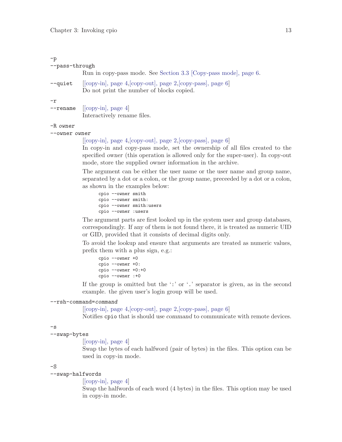## -p --pass-through Run in copy-pass mode. See [Section 3.3 \[Copy-pass mode\], page 6.](#page-7-0) --quiet [[\[copy-in\], page 4,](#page-5-1)[\[copy-out\], page 2,](#page-3-1)[\[copy-pass\], page 6\]](#page-7-1) Do not print the number of blocks copied. -r --rename [[\[copy-in\], page 4\]](#page-5-1)

Interactively rename files.

#### <span id="page-14-0"></span>-R owner

#### --owner owner

#### $[ [copy-in], page 4, [copy-out], page 2, [copy-pass], page 6]$  $[ [copy-in], page 4, [copy-out], page 2, [copy-pass], page 6]$  $[ [copy-in], page 4, [copy-out], page 2, [copy-pass], page 6]$  $[ [copy-in], page 4, [copy-out], page 2, [copy-pass], page 6]$  $[ [copy-in], page 4, [copy-out], page 2, [copy-pass], page 6]$  $[ [copy-in], page 4, [copy-out], page 2, [copy-pass], page 6]$

In copy-in and copy-pass mode, set the ownership of all files created to the specified owner (this operation is allowed only for the super-user). In copy-out mode, store the supplied owner information in the archive.

The argument can be either the user name or the user name and group name, separated by a dot or a colon, or the group name, preceeded by a dot or a colon, as shown in the examples below:

```
cpio --owner smith
cpio --owner smith:
cpio --owner smith:users
cpio --owner :users
```
The argument parts are first looked up in the system user and group databases, correspondingly. If any of them is not found there, it is treated as numeric UID or GID, provided that it consists of decimal digits only.

To avoid the lookup and ensure that arguments are treated as numeric values, prefix them with a plus sign, e.g.:

cpio --owner +0 cpio --owner +0: cpio --owner +0:+0 cpio --owner :+0

If the group is omitted but the ':' or '.' separator is given, as in the second example. the given user's login group will be used.

#### --rsh-command=command

[[\[copy-in\], page 4,](#page-5-1)[\[copy-out\], page 2,](#page-3-1)[\[copy-pass\], page 6\]](#page-7-1)

Notifies cpio that is should use command to communicate with remote devices.

#### $-\mathbf{s}$

#### --swap-bytes

[[\[copy-in\], page 4\]](#page-5-1)

Swap the bytes of each halfword (pair of bytes) in the files. This option can be used in copy-in mode.

#### $-S$

#### --swap-halfwords

#### $[$ [\[copy-in\], page 4\]](#page-5-1)

Swap the halfwords of each word (4 bytes) in the files. This option may be used in copy-in mode.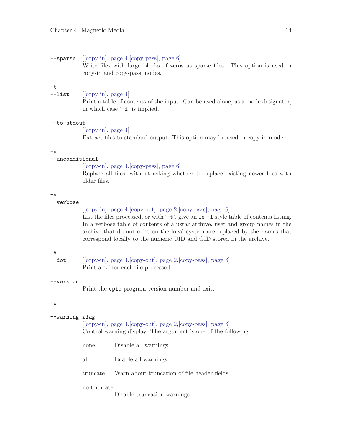--sparse [[\[copy-in\], page 4,](#page-5-1)[\[copy-pass\], page 6](#page-7-1)]

| 원 사<br>۰ |
|----------|

|              | Write files with large blocks of zeros as sparse files. This option is used in<br>copy-in and copy-pass modes.                                 |
|--------------|------------------------------------------------------------------------------------------------------------------------------------------------|
| -t.          |                                                                                                                                                |
| $-$ list     | $[ [copy-in], page 4]$<br>Print a table of contents of the input. Can be used alone, as a mode designator,<br>in which case $\div$ is implied. |
| $-to-stdout$ |                                                                                                                                                |
|              | $[ [copy-in], page 4]$                                                                                                                         |
|              | Extract files to standard output. This option may be used in copy-in mode.                                                                     |
|              |                                                                                                                                                |

#### -u

#### --unconditional

[[\[copy-in\], page 4,](#page-5-1)[\[copy-pass\], page 6](#page-7-1)]

Replace all files, without asking whether to replace existing newer files with older files.

#### $-v$

#### --verbose

[[\[copy-in\], page 4,](#page-5-1)[\[copy-out\], page 2,](#page-3-1)[\[copy-pass\], page 6\]](#page-7-1)

List the files processed, or with  $\div \div$ , give an  $\text{ls} - \text{l}$  style table of contents listing. In a verbose table of contents of a ustar archive, user and group names in the archive that do not exist on the local system are replaced by the names that correspond locally to the numeric UID and GID stored in the archive.

#### $-V$

| --dot | $[ [copy-in], page 4, [copy-out], page 2, [copy-pass], page 6]$ |
|-------|-----------------------------------------------------------------|
|       | Print a '.' for each file processed.                            |

#### --version

Print the cpio program version number and exit.

#### <span id="page-15-0"></span> $-{\mathtt W}$

#### --warning=flag

[[\[copy-in\], page 4,](#page-5-1)[\[copy-out\], page 2,](#page-3-1)[\[copy-pass\], page 6\]](#page-7-1) Control warning display. The argument is one of the following:

| none        | Disable all warnings.                                 |
|-------------|-------------------------------------------------------|
| all         | Enable all warnings.                                  |
|             | truncate Warn about truncation of file header fields. |
| no-truncate |                                                       |

Disable truncation warnings.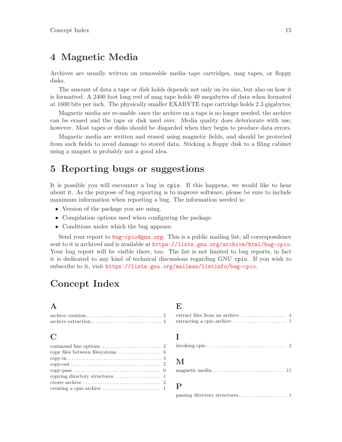## <span id="page-16-0"></span>4 Magnetic Media

Archives are usually written on removable media–tape cartridges, mag tapes, or floppy disks.

The amount of data a tape or disk holds depends not only on its size, but also on how it is formatted. A 2400 foot long reel of mag tape holds 40 megabytes of data when formated at 1600 bits per inch. The physically smaller EXABYTE tape cartridge holds 2.3 gigabytes.

Magnetic media are re-usable–once the archive on a tape is no longer needed, the archive can be erased and the tape or disk used over. Media quality does deteriorate with use, however. Most tapes or disks should be disgarded when they begin to produce data errors.

Magnetic media are written and erased using magnetic fields, and should be protected from such fields to avoid damage to stored data. Sticking a floppy disk to a filing cabinet using a magnet is probably not a good idea.

## 5 Reporting bugs or suggestions

It is possible you will encounter a bug in cpio. If this happens, we would like to hear about it. As the purpose of bug reporting is to improve software, please be sure to include maximum information when reporting a bug. The information needed is:

- Version of the package you are using.
- Compilation options used when configuring the package.
- Conditions under which the bug appears.

Send your report to [bug-cpio@gnu.org](mailto:bug-cpio@gnu.org). This is a public mailing list; all correspondence sent to it is archived and is available at <https://lists.gnu.org/archive/html/bug-cpio>. Your bug report will be visible there, too. The list is not limited to bug reports, in fact it is dedicated to any kind of technical discussions regarding GNU cpio. If you wish to subscribe to it, visit <https://lists.gnu.org/mailman/listinfo/bug-cpio>.

## Concept Index

## A

## $\rm C$

| copy-out $\ldots \ldots \ldots \ldots \ldots \ldots \ldots \ldots \ldots \ldots \ldots 2$ |
|-------------------------------------------------------------------------------------------|
|                                                                                           |
| copying directory structures $\dots \dots \dots \dots \dots$ 1                            |
| create archive $\dots \dots \dots \dots \dots \dots \dots \dots \dots \dots 2$            |
|                                                                                           |

## E

| extract files from an archive $\ldots \ldots \ldots \ldots \ldots$      |  |
|-------------------------------------------------------------------------|--|
| extracting a cpio archive $\dots \dots \dots \dots \dots \dots \dots$ 1 |  |

## I

|--|--|--|--|--|

## M

|--|--|--|--|--|--|--|--|--|--|--|--|--|--|--|--|--|--|--|--|--|--|--|--|--|--|--|

## P

passing directory structures . . . . . . . . . . . . . . . . . [1](#page-2-0)